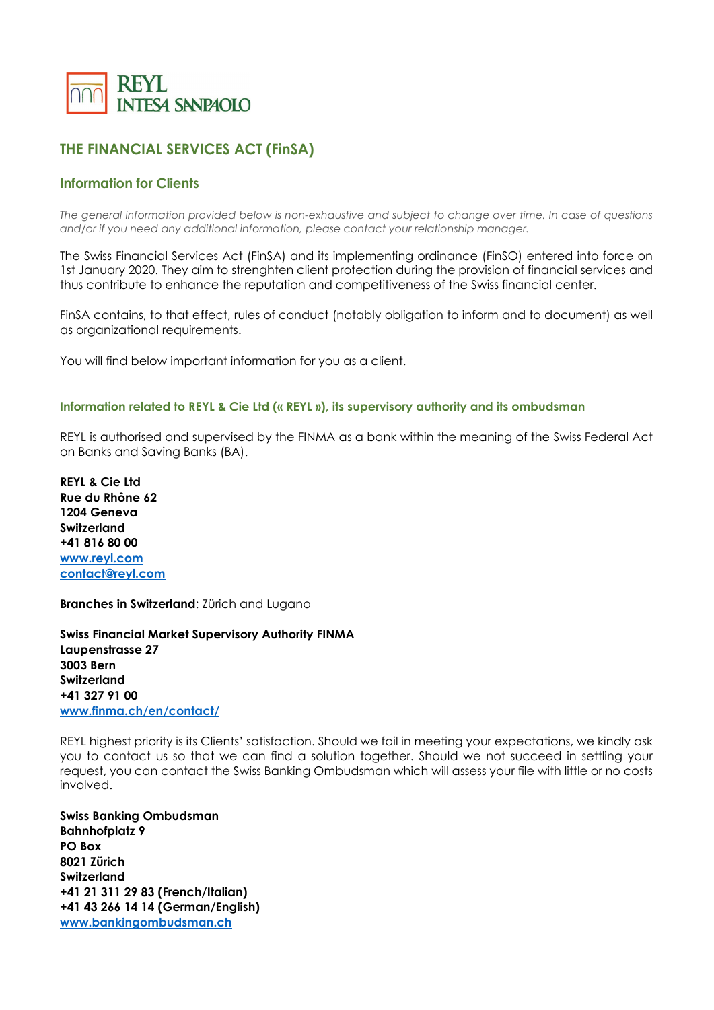

# **THE FINANCIAL SERVICES ACT (FinSA)**

# **Information for Clients**

*The general information provided below is non-exhaustive and subject to change over time. In case of questions and/or if you need any additional information, please contact your relationship manager.*

The Swiss Financial Services Act (FinSA) and its implementing ordinance (FinSO) entered into force on 1st January 2020. They aim to strenghten client protection during the provision of financial services and thus contribute to enhance the reputation and competitiveness of the Swiss financial center.

FinSA contains, to that effect, rules of conduct (notably obligation to inform and to document) as well as organizational requirements.

You will find below important information for you as a client.

#### **Information related to REYL & Cie Ltd (« REYL »), its supervisory authority and its ombudsman**

REYL is authorised and supervised by the FINMA as a bank within the meaning of the Swiss Federal Act on Banks and Saving Banks (BA).

**REYL & Cie Ltd Rue du Rhône 62 1204 Geneva Switzerland +41 816 80 00 [www.reyl.com](http://www.reyl.com/) [contact@reyl.com](mailto:contact@reyl.com)**

**Branches in Switzerland**: Zürich and Lugano

**Swiss Financial Market Supervisory Authority FINMA Laupenstrasse 27 3003 Bern Switzerland +41 327 91 00 [www.finma.ch/en/contact/](http://www.finma.ch/en/contact/)**

REYL highest priority is its Clients' satisfaction. Should we fail in meeting your expectations, we kindly ask you to contact us so that we can find a solution together. Should we not succeed in settling your request, you can contact the Swiss Banking Ombudsman which will assess your file with little or no costs involved.

**Swiss Banking Ombudsman Bahnhofplatz 9 PO Box 8021 Zürich Switzerland +41 21 311 29 83 (French/Italian) +41 43 266 14 14 (German/English) [www.bankingombudsman.ch](http://www.bankingombudsman.ch/)**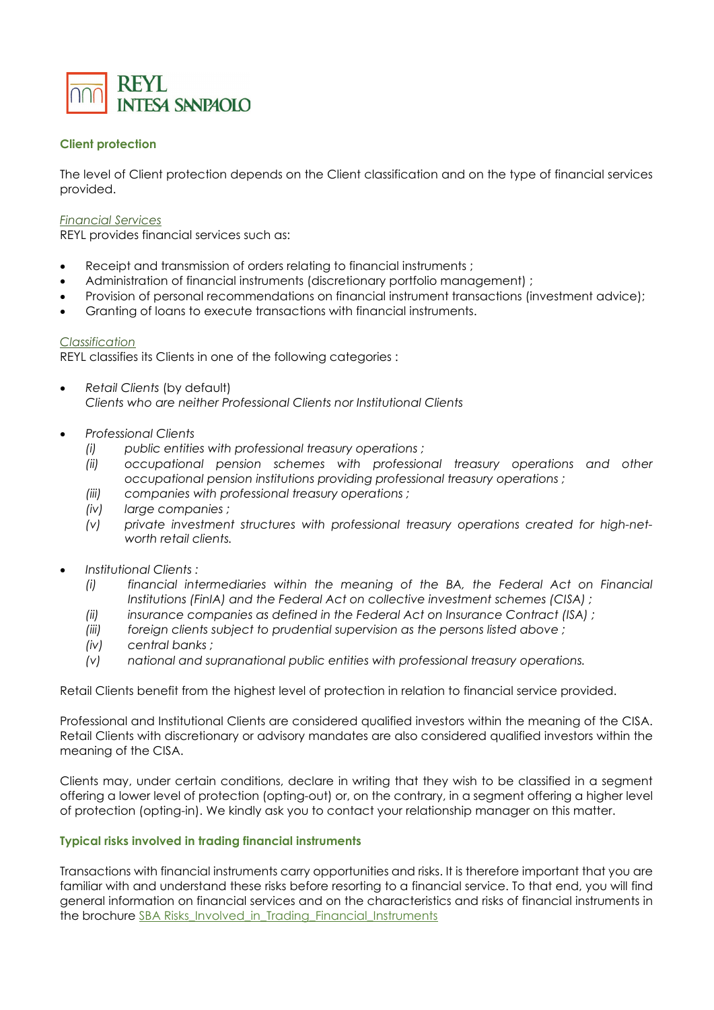

## **Client protection**

The level of Client protection depends on the Client classification and on the type of financial services provided.

#### *Financial Services*

REYL provides financial services such as:

- Receipt and transmission of orders relating to financial instruments;
- Administration of financial instruments (discretionary portfolio management) ;
- Provision of personal recommendations on financial instrument transactions (investment advice);
- Granting of loans to execute transactions with financial instruments.

### *Classification*

REYL classifies its Clients in one of the following categories :

- *Retail Clients* (by default) *Clients who are neither Professional Clients nor Institutional Clients*
- *Professional Clients* 
	- *(i) public entities with professional treasury operations ;*
	- *(ii) occupational pension schemes with professional treasury operations and other occupational pension institutions providing professional treasury operations ;*
	- *(iii) companies with professional treasury operations ;*
	- *(iv) large companies ;*
	- *(v) private investment structures with professional treasury operations created for high-networth retail clients.*
- *Institutional Clients :*
	- *(i) financial intermediaries within the meaning of the BA, the Federal Act on Financial Institutions (FinIA) and the Federal Act on collective investment schemes (CISA) ;*
	- *(ii) insurance companies as defined in the Federal Act on Insurance Contract (ISA) ;*
	- *(iii) foreign clients subject to prudential supervision as the persons listed above ;*
	- *(iv) central banks ;*
	- *(v) national and supranational public entities with professional treasury operations.*

Retail Clients benefit from the highest level of protection in relation to financial service provided.

Professional and Institutional Clients are considered qualified investors within the meaning of the CISA. Retail Clients with discretionary or advisory mandates are also considered qualified investors within the meaning of the CISA.

Clients may, under certain conditions, declare in writing that they wish to be classified in a segment offering a lower level of protection (opting-out) or, on the contrary, in a segment offering a higher level of protection (opting-in). We kindly ask you to contact your relationship manager on this matter.

### **Typical risks involved in trading financial instruments**

Transactions with financial instruments carry opportunities and risks. It is therefore important that you are familiar with and understand these risks before resorting to a financial service. To that end, you will find general information on financial services and on the characteristics and risks of financial instruments in the brochure SBA Risks Involved in Trading Financial Instruments